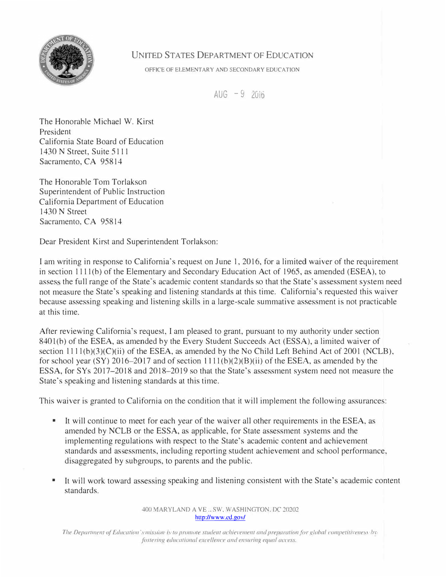

## UNITED STATES DEPARTMENT OF EDUCATION

OFFICE OF ELEMENTARY AND SECONDARY EDUCATION

 $AUG - 9$  2016

The Honorable Michael W. Kirst President California State Board of Education 1430 N Street, Suite 5111 Sacramento, CA 95814

The Honorable Tom Torlakson Superintendent of Public Instruction California Department of Education 1430 N Street Sacramento, CA 95814

Dear President Kirst and Superintendent Torlakson:

I am writing in response to California's request on June I, 2016, for a limited waiver of the requirement in section 1111 (b) of the Elementary and Secondary Education Act of 1965, as amended (ESEA), to asses the full range of the State's academic content standards so that the State's assessment system need not measure the State's speaking and listening standards at this time. California's requested this waiver because assessing speaking and listening skills in a large-scale summative assessment is not practicable at this time.

After reviewing California's request, I am pleased to grant, pursuant to my authority under section 8401(b) of the ESEA, as amended by the Every Student Succeeds Act (ESSA), a limited waiver of section  $1111(b)(3)(C)(ii)$  of the ESEA, as amended by the No Child Left Behind Act of 2001 (NCLB), for school year (SY) 2016–2017 and of section  $1111(b)(2)(B)(ii)$  of the ESEA, as amended by the ESSA, for SYs 2017-2018 and 2018-2019 so that the State's assessment system need not measure the State's speaking and listening standards at this time.

This waiver is granted to California on the condition that it will implement the following assurances:

- It will continue to meet for each year of the waiver all other requirements in the ESEA, as amended by NCLB or the ESSA, as applicable, for State assessment systems and the implementing regulations with respect to the State's academic content and achievement standards and assessments, including reporting student achievement and school performance, disaggregated by subgroups, to parents and the public.
- • It will work toward assessing speaking and listening consistent with the State's academic content standards.

400 MARYLAND A VE .. SW, WASHINGTON. DC 20202 http://www.cd.gov/

*The Department of Education's mission is to promote student achievement and preparation for global competitiveness by fostering educational excellence and ensuring equal access.*